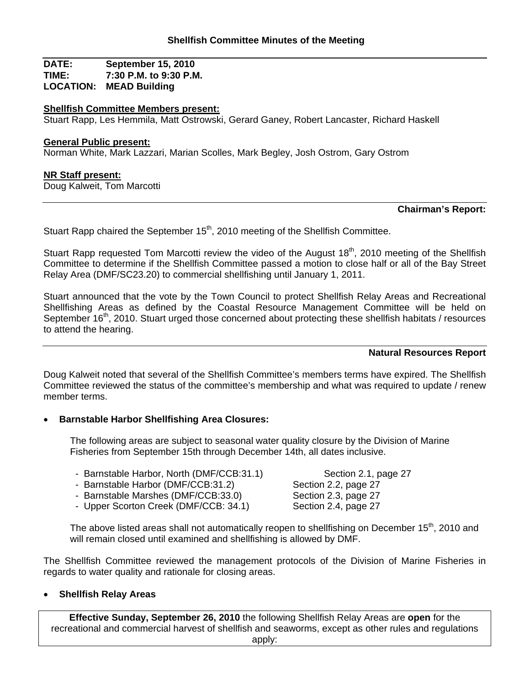**DATE: September 15, 2010 TIME: 7:30 P.M. to 9:30 P.M. LOCATION: MEAD Building**

### **Shellfish Committee Members present:**

Stuart Rapp, Les Hemmila, Matt Ostrowski, Gerard Ganey, Robert Lancaster, Richard Haskell

#### **General Public present:**

Norman White, Mark Lazzari, Marian Scolles, Mark Begley, Josh Ostrom, Gary Ostrom

### **NR Staff present:**

Doug Kalweit, Tom Marcotti

### **Chairman's Report:**

Stuart Rapp chaired the September  $15<sup>th</sup>$ , 2010 meeting of the Shellfish Committee.

Stuart Rapp requested Tom Marcotti review the video of the August 18<sup>th</sup>, 2010 meeting of the Shellfish Committee to determine if the Shellfish Committee passed a motion to close half or all of the Bay Street Relay Area (DMF/SC23.20) to commercial shellfishing until January 1, 2011.

Stuart announced that the vote by the Town Council to protect Shellfish Relay Areas and Recreational Shellfishing Areas as defined by the Coastal Resource Management Committee will be held on September  $16<sup>th</sup>$ , 2010. Stuart urged those concerned about protecting these shellfish habitats / resources to attend the hearing.

#### **Natural Resources Report**

Doug Kalweit noted that several of the Shellfish Committee's members terms have expired. The Shellfish Committee reviewed the status of the committee's membership and what was required to update / renew member terms.

# • **Barnstable Harbor Shellfishing Area Closures:**

The following areas are subject to seasonal water quality closure by the Division of Marine Fisheries from September 15th through December 14th, all dates inclusive.

- Barnstable Harbor, North (DMF/CCB:31.1) Section 2.1, page 27
- Barnstable Harbor (DMF/CCB:31.2) Section 2.2, page 27
- Barnstable Marshes (DMF/CCB:33.0) Section 2.3, page 27
- Upper Scorton Creek (DMF/CCB: 34.1) Section 2.4, page 27

The above listed areas shall not automatically reopen to shellfishing on December 15<sup>th</sup>, 2010 and will remain closed until examined and shellfishing is allowed by DMF.

The Shellfish Committee reviewed the management protocols of the Division of Marine Fisheries in regards to water quality and rationale for closing areas.

#### • **Shellfish Relay Areas**

**Effective Sunday, September 26, 2010** the following Shellfish Relay Areas are **open** for the recreational and commercial harvest of shellfish and seaworms, except as other rules and regulations apply: